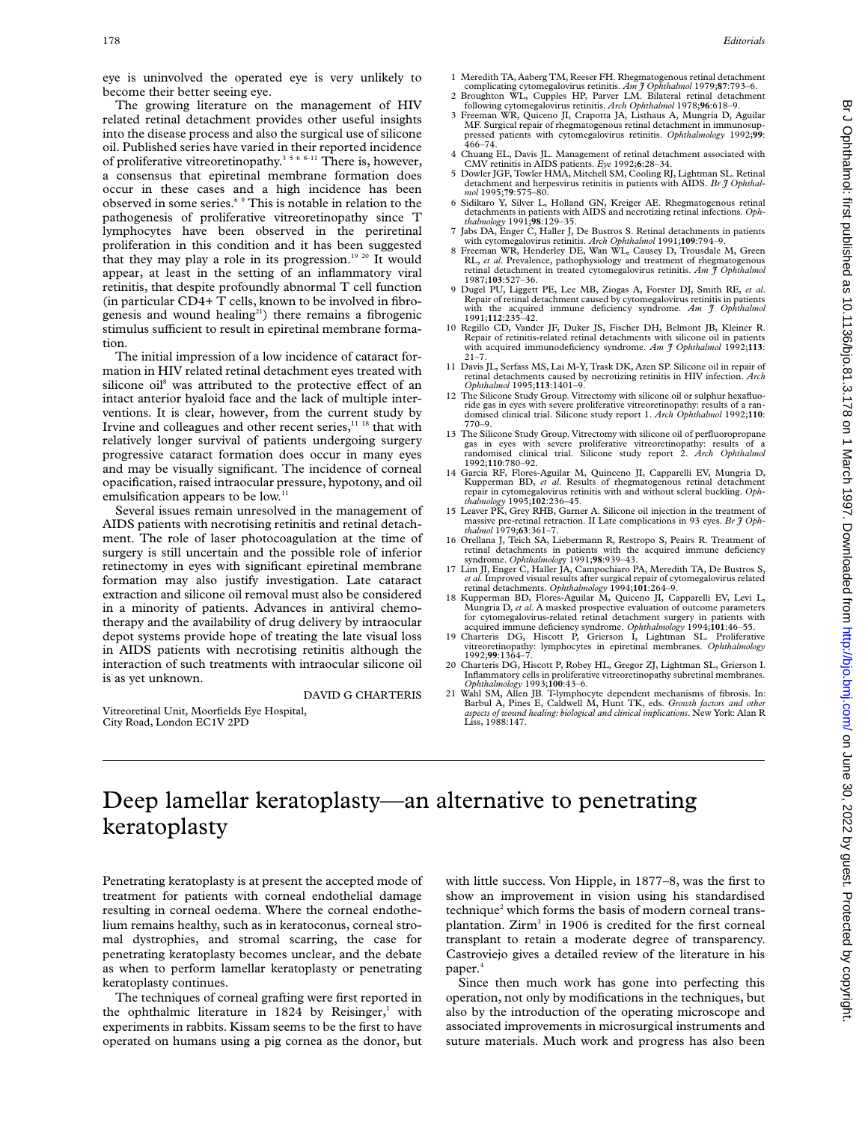eye is uninvolved the operated eye is very unlikely to become their better seeing eye.

The growing literature on the management of HIV related retinal detachment provides other useful insights into the disease process and also the surgical use of silicone oil. Published series have varied in their reported incidence of proliferative vitreoretinopathy.<sup>3568-11</sup> There is, however, a consensus that epiretinal membrane formation does occur in these cases and a high incidence has been observed in some series.6 9 This is notable in relation to the pathogenesis of proliferative vitreoretinopathy since T lymphocytes have been observed in the periretinal proliferation in this condition and it has been suggested that they may play a role in its progression.<sup>19 20</sup> It would appear, at least in the setting of an inflammatory viral retinitis, that despite profoundly abnormal T cell function (in particular CD4+ T cells, known to be involved in fibrogenesis and wound healing<sup>21</sup>) there remains a fibrogenic stimulus sufficient to result in epiretinal membrane formation.

The initial impression of a low incidence of cataract formation in HIV related retinal detachment eyes treated with silicone oil<sup>8</sup> was attributed to the protective effect of an intact anterior hyaloid face and the lack of multiple interventions. It is clear, however, from the current study by Irvine and colleagues and other recent series,<sup>11 18</sup> that with relatively longer survival of patients undergoing surgery progressive cataract formation does occur in many eyes and may be visually significant. The incidence of corneal opacification, raised intraocular pressure, hypotony, and oil emulsification appears to be low.<sup>11</sup>

Several issues remain unresolved in the management of AIDS patients with necrotising retinitis and retinal detachment. The role of laser photocoagulation at the time of surgery is still uncertain and the possible role of inferior retinectomy in eyes with significant epiretinal membrane formation may also justify investigation. Late cataract extraction and silicone oil removal must also be considered in a minority of patients. Advances in antiviral chemotherapy and the availability of drug delivery by intraocular depot systems provide hope of treating the late visual loss in AIDS patients with necrotising retinitis although the interaction of such treatments with intraocular silicone oil is as yet unknown.

DAVID G CHARTERIS

Vitreoretinal Unit, Moorfields Eye Hospital, City Road, London EC1V 2PD

- 1 Meredith TA, Aaberg TM, Reeser FH. Rhegmatogenous retinal detachment complicating cytomegalovirus retinitis. *Am J Ophthalmol* 1979;**87**:793–6.
- 2 Broughton WL, Cupples HP, Parver LM. Bilateral retinal detachment
- following cytomegalovirus retinitis. *Arch Ophthalmol* 1978;**96**:618–9. 3 Freeman WR, Quiceno JI, Crapotta JA, Listhaus A, Mungria D, Aguilar MF. Surgical repair of rhegmatogenous retinal detachment in immunosuppressed patients with cytomegalovirus retinitis. *Ophthalmology* 1992;**99**:  $466 - 74$
- 4 Chuang EL, Davis JL. Management of retinal detachment associated with CMV retinitis in AIDS patients. *Eye* 1992;**6**:28–34. 5 Dowler JGF, Towler HMA, Mitchell SM, Cooling RJ, Lightman SL. Retinal
- detachment and herpesvirus retinitis in patients with AIDS. *Br J Ophthalmol* 1995;**79**:575–80.
- 6 Sidikaro Y, Silver L, Holland GN, Kreiger AE. Rhegmatogenous retinal detachments in patients with AIDS and necrotizing retinal infections. *Ophthalmology* 1991;**98**:129–35.
- 7 Jabs DA, Enger C, Haller J, De Bustros S. Retinal detachments in patients
- with cytomegalovirus retinitis. *Arch Ophthalmol* 1991;**109**:794–9. 8 Freeman WR, Henderley DE, Wan WL, Causey D, Trousdale M, Green RL, *et al*. Prevalence, pathophysiology and treatment of rhegmatogenous retinal detachment in treated cytomegalovirus retinitis. *Am J Ophthalmol* 1987;**103**:527–36.
- 9 Dugel PU, Liggett PE, Lee MB, Ziogas A, Forster DJ, Smith RE, *et al*. Repair of retinal detachment caused by cytomegalovirus retinitis in patients with the acquired immune deficiency syndrome. *Am J Ophthalmol* 1991;**112**:235–42.
- 10 Regillo CD, Vander JF, Duker JS, Fischer DH, Belmont JB, Kleiner R. Repair of retinitis-related retinal detachments with silicone oil in patients with acquired immunodeficiency syndrome. *Am J Ophthalmol* 1992;113:  $21 - 7$
- 11 Davis JL, Serfass MS, Lai M-Y, Trask DK, Azen SP. Silicone oil in repair of retinal detachments caused by necrotizing retinitis in HIV infection. *Arch Ophthalmol* 1995;**113**:1401–9.
- 12 The Silicone Study Group. Vitrectomy with silicone oil or sulphur hexafluoride gas in eyes with severe proliferative vitreoretinopathy: results of a ran-domised clinical trial. Silicone study report 1. *Arch Ophthalmol* 1992;**110**: 770–9.
- 13 The Silicone Study Group. Vitrectomy with silicone oil of perfluoropropane gas in eyes with severe proliferative vitreoretinopathy: results of a randomised clinical trial. Silicone study report 2. *Arch Ophthalmol* 1992;**110**:780–92.
- 14 Garcia RF, Flores-Aguilar M, Quinceno JI, Capparelli EV, Mungria D, Kupperman BD, *et al*. Results of rhegmatogenous retinal detachment repair in cytomegalovirus retinitis with and without scleral buckling. *Oph-thalmology* 1995;**102**:236–45.
- 15 Leaver PK, Grey RHB, Garner A. Silicone oil injection in the treatment of massive pre-retinal retraction. II Late complications in 93 eyes. *Br J Ophthalmol* 1979;**63**:361–7.
- 16 Orellana J, Teich SA, Liebermann R, Restropo S, Peairs R. Treatment of retinal detachments in patients with the acquired immune deficiency syndrome. *Ophthalmolog*y 1991;**98**:939–43.
- 17 Lim JI, Enger C, Haller JA, Campochiaro PA, Meredith TA, De Bustros S, *et al.* Improved visual results after surgical repair of cytomegalovirus related retinal detachments. *Ophthalmology* 1994;**101**:264–9.
- 18 Kupperman BD, Flores-Aguilar M, Quiceno JI, Capparelli EV, Levi L, Mungria D, *et al*. A masked prospective evaluation of outcome parameters for cytomegalovirus-related retinal detachment surgery in patients with acquired immune deficiency syndrome. *Ophthalmology* 1994;**101**:46–55. 19 Charteris DG, Hiscott P, Grierson I, Lightman SL. Proliferative
- vitreoretinopathy: lymphocytes in epiretinal membranes. *Ophthalmology* 1992;**99**:1364–7.
- 20 Charteris DG, Hiscott P, Robey HL, Gregor ZJ, Lightman SL, Grierson I. Inflammatory cells in proliferative vitreoretinopathy subretinal membranes. *Ophthalmology* 1993;**100**:43–6.
- 21 Wahl SM, Allen JB. T-lymphocyte dependent mechanisms of fibrosis. In: Barbul A, Pines E, Caldwell M, Hunt TK, eds. *Growth factors and other aspects of wound healing: biological and clinical implications*. New York: Alan R Liss, 1988:147.

## Deep lamellar keratoplasty—an alternative to penetrating keratoplasty

Penetrating keratoplasty is at present the accepted mode of treatment for patients with corneal endothelial damage resulting in corneal oedema. Where the corneal endothelium remains healthy, such as in keratoconus, corneal stromal dystrophies, and stromal scarring, the case for penetrating keratoplasty becomes unclear, and the debate as when to perform lamellar keratoplasty or penetrating keratoplasty continues.

The techniques of corneal grafting were first reported in the ophthalmic literature in  $1824$  by Reisinger,<sup>1</sup> with experiments in rabbits. Kissam seems to be the first to have operated on humans using a pig cornea as the donor, but

with little success. Von Hipple, in 1877–8, was the first to show an improvement in vision using his standardised technique<sup>2</sup> which forms the basis of modern corneal transplantation. Zirm<sup>3</sup> in 1906 is credited for the first corneal transplant to retain a moderate degree of transparency. Castroviejo gives a detailed review of the literature in his paper.<sup>4</sup>

Since then much work has gone into perfecting this operation, not only by modifications in the techniques, but also by the introduction of the operating microscope and associated improvements in microsurgical instruments and suture materials. Much work and progress has also been